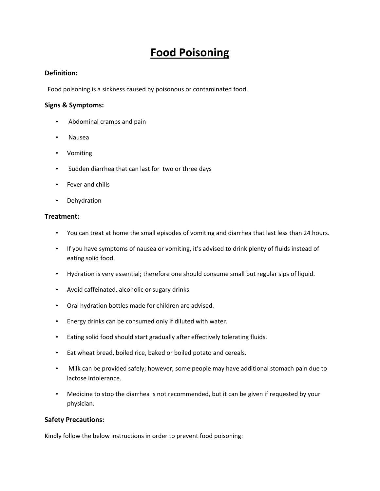# **Food Poisoning**

## **Definition:**

Food poisoning is a sickness caused by poisonous or contaminated food.

## **Signs & Symptoms:**

- Abdominal cramps and pain
- Nausea
- Vomiting
- Sudden diarrhea that can last for two or three days
- Fever and chills
- Dehydration

## **Treatment:**

- You can treat at home the small episodes of vomiting and diarrhea that last less than 24 hours.
- If you have symptoms of nausea or vomiting, it's advised to drink plenty of fluids instead of eating solid food.
- Hydration is very essential; therefore one should consume small but regular sips of liquid.
- Avoid caffeinated, alcoholic or sugary drinks.
- Oral hydration bottles made for children are advised.
- Energy drinks can be consumed only if diluted with water.
- Eating solid food should start gradually after effectively tolerating fluids.
- Eat wheat bread, boiled rice, baked or boiled potato and cereals.
- Milk can be provided safely; however, some people may have additional stomach pain due to lactose intolerance.
- Medicine to stop the diarrhea is not recommended, but it can be given if requested by your physician.

## **Safety Precautions:**

Kindly follow the below instructions in order to prevent food poisoning: